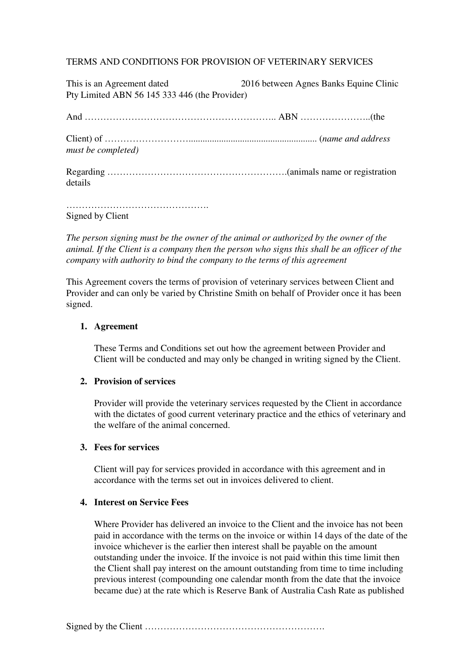# TERMS AND CONDITIONS FOR PROVISION OF VETERINARY SERVICES

| This is an Agreement dated<br>Pty Limited ABN 56 145 333 446 (the Provider) | 2016 between Agnes Banks Equine Clinic |
|-----------------------------------------------------------------------------|----------------------------------------|
|                                                                             |                                        |
| must be completed)                                                          |                                        |
| details                                                                     |                                        |
|                                                                             |                                        |

Signed by Client

*The person signing must be the owner of the animal or authorized by the owner of the animal. If the Client is a company then the person who signs this shall be an officer of the company with authority to bind the company to the terms of this agreement* 

This Agreement covers the terms of provision of veterinary services between Client and Provider and can only be varied by Christine Smith on behalf of Provider once it has been signed.

### **1. Agreement**

These Terms and Conditions set out how the agreement between Provider and Client will be conducted and may only be changed in writing signed by the Client.

## **2. Provision of services**

Provider will provide the veterinary services requested by the Client in accordance with the dictates of good current veterinary practice and the ethics of veterinary and the welfare of the animal concerned.

### **3. Fees for services**

Client will pay for services provided in accordance with this agreement and in accordance with the terms set out in invoices delivered to client.

# **4. Interest on Service Fees**

Where Provider has delivered an invoice to the Client and the invoice has not been paid in accordance with the terms on the invoice or within 14 days of the date of the invoice whichever is the earlier then interest shall be payable on the amount outstanding under the invoice. If the invoice is not paid within this time limit then the Client shall pay interest on the amount outstanding from time to time including previous interest (compounding one calendar month from the date that the invoice became due) at the rate which is Reserve Bank of Australia Cash Rate as published

Signed by the Client ………………………………………………….